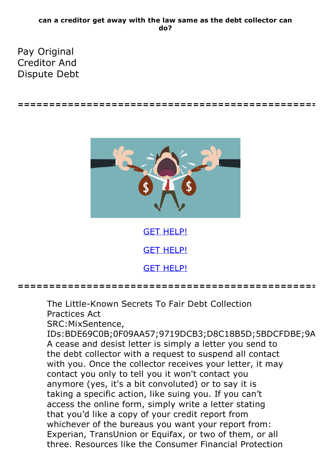## **can a creditor get away with the law same as the debt collector can do?**

**================================================**

Pay Original Creditor And Dispute Debt



GET [HELP!](https://runpdf.xyz/pdf) GET [HELP!](https://runpdf.xyz/pdf) GET [HELP!](https://runpdf.xyz/pdf)

**================================================**

The Little-Known Secrets To Fair Debt Collection Practices Act

SRC:MixSentence,

IDs:BDE69C0B;0F09AA57;9719DCB3;D8C18B5D;5BDCFDBE;9A A cease and desist letter is simply a letter you send to the debt collector with a request to suspend all contact with you. Once the collector receives your letter, it may contact you only to tell you it won't contact you anymore (yes, it's a bit convoluted) or to say it is taking a specific action, like suing you. If you can't access the online form, simply write a letter stating that you'd like a copy of your credit report from whichever of the bureaus you want your report from: Experian, TransUnion or Equifax, or two of them, or all three. Resources like the Consumer Financial Protection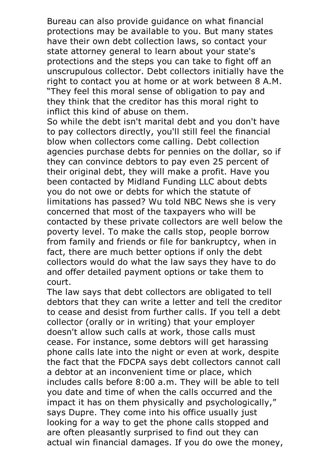Bureau can also provide guidance on what financial protections may be available to you. But many states have their own debt collection laws, so contact your state attorney general to learn about your state's protections and the steps you can take to fight off an unscrupulous collector. Debt collectors initially have the right to contact you at home or at work between 8 A.M. "They feel this moral sense of obligation to pay and they think that the creditor has this moral right to

inflict this kind of abuse on them.<br>So while the debt isn't marital debt and you don't have to pay collectors directly, you'll still feel the financial blow when collectors come calling. Debt collection agencies purchase debts for pennies on the dollar, so if they can convince debtors to pay even 25 percent of their original debt, they will make a profit. Have you been contacted by Midland Funding LLC about debts you do not owe or debts for which the statute of limitations has passed? Wu told NBC News she is very concerned that most of the taxpayers who will be contacted by these private collectors are well below the poverty level. To make the calls stop, people borrow from family and friends or file for bankruptcy, when in fact, there are much better options if only the debt collectors would do what the law says they have to do and offer detailed payment options or take them to

court.<br>The law says that debt collectors are obligated to tell debtors that they can write a letter and tell the creditor to cease and desist from further calls. If you tell a debt collector (orally or in writing) that your employer doesn't allow such calls at work, those calls must cease. For instance, some debtors will get harassing phone calls late into the night or even at work, despite the fact that the FDCPA says debt collectors cannot call a debtor at an inconvenient time or place, which includes calls before 8:00 a.m. They will be able to tell you date and time of when the calls occurred and the impact it has on them physically and psychologically," says Dupre. They come into his office usually just looking for a way to get the phone calls stopped and are often pleasantly surprised to find out they can actual win financial damages. If you do owe the money,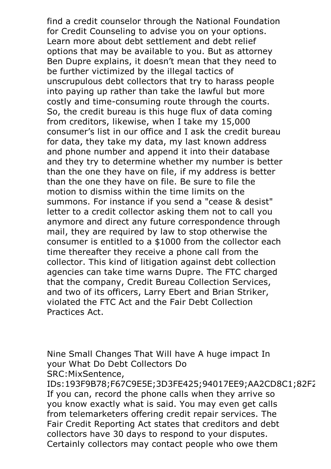find a credit counselor through the National Foundation for Credit Counseling to advise you on your options. Learn more about debt settlement and debt relief options that may be available to you. But as attorney Ben Dupre explains, it doesn't mean that they need to be further victimized by the illegal tactics of unscrupulous debt collectors that try to harass people into paying up rather than take the lawful but more costly and time-consuming route through the courts. So, the credit bureau is this huge flux of data coming from creditors, likewise, when I take my 15,000 consumer's list in our office and I ask the credit bureau for data, they take my data, my last known address and phone number and append it into their database and they try to determine whether my number is better than the one they have on file, if my address is better than the one they have on file. Be sure to file the motion to dismiss within the time limits on the summons. For instance if you send a "cease & desist" letter to a credit collector asking them not to call you anymore and direct any future correspondence through mail, they are required by law to stop otherwise the consumer is entitled to a \$1000 from the collector each time thereafter they receive a phone call from the collector. This kind of litigation against debt collection agencies can take time warns Dupre. The FTC charged that the company, Credit Bureau Collection Services, and two of its officers, Larry Ebert and Brian Striker, violated the FTC Act and the Fair Debt Collection Practices Act.

Nine Small Changes That Will have A huge impact In your What Do Debt Collectors Do SRC:MixSentence,

IDs:193F9B78;F67C9E5E;3D3FE425;94017EE9;AA2CD8C1;82F2 If you can, record the phone calls when they arrive so you know exactly what is said. You may even get calls from telemarketers offering credit repair services. The Fair Credit Reporting Act states that creditors and debt collectors have <sup>30</sup> days to respond to your disputes. Certainly collectors may contact people who owe them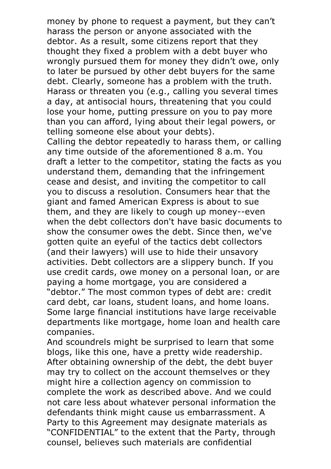money by phone to request a payment, but they can't harass the person or anyone associated with the debtor. As a result, some citizens report that they thought they fixed a problem with a debt buyer who wrongly pursued them for money they didn't owe, only to later be pursued by other debt buyers for the same debt. Clearly, someone has <sup>a</sup> problem with the truth. Harass or threaten you (e.g., calling you several times a day, at antisocial hours, threatening that you could lose your home, putting pressure on you to pay more than you can afford, lying about their legal powers, or telling someone else about your debts). Calling the debtor repeatedly to harass them, or calling

any time outside of the aforementioned 8 a.m. You draft a letter to the competitor, stating the facts as you understand them, demanding that the infringement cease and desist, and inviting the competitor to call you to discuss a resolution. Consumers hear that the giant and famed American Express is about to sue them, and they are likely to cough up money--even when the debt collectors don't have basic documents to show the consumer owes the debt. Since then, we've gotten quite an eyeful of the tactics debt collectors (and their lawyers) will use to hide their unsavory activities. Debt collectors are a slippery bunch. If you use credit cards, owe money on a personal loan, or are paying a home mortgage, you are considered a "debtor." The most common types of debt are: credit card debt, car loans, student loans, and home loans. Some large financial institutions have large receivable departments like mortgage, home loan and health care companies.<br>And scoundrels might be surprised to learn that some

blogs, like this one, have <sup>a</sup> pretty wide readership. After obtaining ownership of the debt, the debt buyer may try to collect on the account themselves or they might hire a collection agency on commission to complete the work as described above. And we could not care less about whatever personal information the defendants think might cause us embarrassment. A Party to this Agreement may designate materials as "CONFIDENTIAL" to the extent that the Party, through counsel, believes such materials are confidential